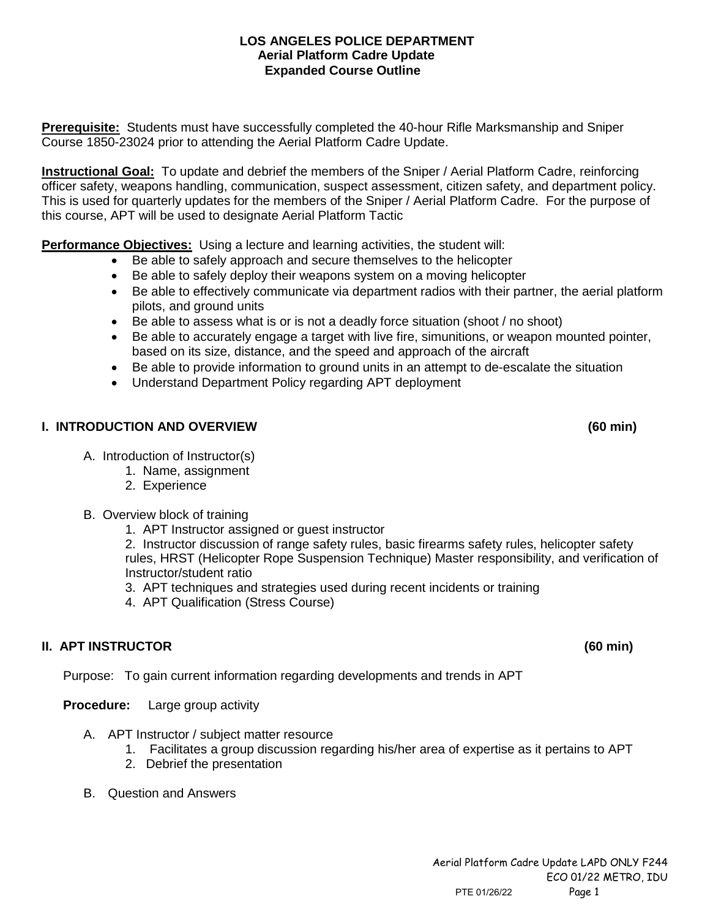### **LOS ANGELES POLICE DEPARTMENT Aerial Platform Cadre Update Expanded Course Outline**

**Prerequisite:** Students must have successfully completed the 40-hour Rifle Marksmanship and Sniper Course 1850-23024 prior to attending the Aerial Platform Cadre Update.

**Instructional Goal:** To update and debrief the members of the Sniper / Aerial Platform Cadre, reinforcing officer safety, weapons handling, communication, suspect assessment, citizen safety, and department policy. This is used for quarterly updates for the members of the Sniper / Aerial Platform Cadre. For the purpose of this course, APT will be used to designate Aerial Platform Tactic

**Performance Objectives:** Using a lecture and learning activities, the student will:

- Be able to safely approach and secure themselves to the helicopter
- Be able to safely deploy their weapons system on a moving helicopter
- Be able to effectively communicate via department radios with their partner, the aerial platform pilots, and ground units
- Be able to assess what is or is not a deadly force situation (shoot / no shoot)
- Be able to accurately engage a target with live fire, simunitions, or weapon mounted pointer, based on its size, distance, and the speed and approach of the aircraft
- Be able to provide information to ground units in an attempt to de-escalate the situation
- Understand Department Policy regarding APT deployment

## **I. INTRODUCTION AND OVERVIEW (60 min)**

- A. Introduction of Instructor(s)
	- 1. Name, assignment
		- 2. Experience
- B. Overview block of training
	- 1. APT Instructor assigned or guest instructor

2. Instructor discussion of range safety rules, basic firearms safety rules, helicopter safety rules, HRST (Helicopter Rope Suspension Technique) Master responsibility, and verification of Instructor/student ratio

3. APT techniques and strategies used during recent incidents or training

4. APT Qualification (Stress Course)

# **II. APT INSTRUCTOR (60 min)**

Purpose: To gain current information regarding developments and trends in APT

**Procedure:** Large group activity

- A. APT Instructor / subject matter resource
	- 1. Facilitates a group discussion regarding his/her area of expertise as it pertains to APT
	- 2. Debrief the presentation
- B. Question and Answers